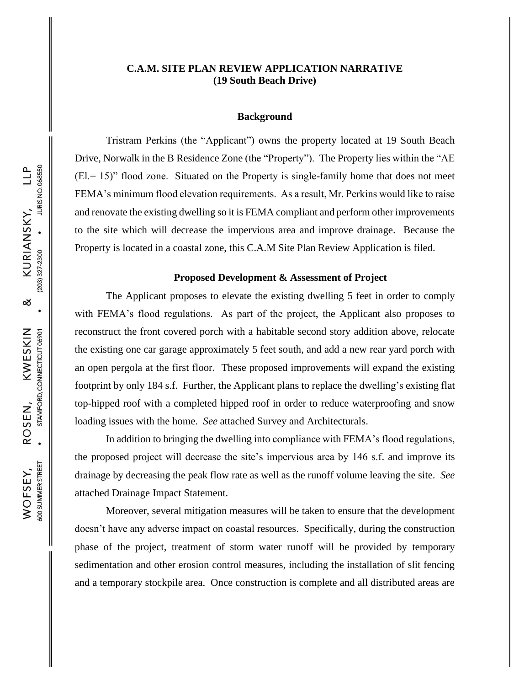# **C.A.M. SITE PLAN REVIEW APPLICATION NARRATIVE (19 South Beach Drive)**

### **Background**

Tristram Perkins (the "Applicant") owns the property located at 19 South Beach Drive, Norwalk in the B Residence Zone (the "Property"). The Property lies within the "AE  $(El = 15)$ " flood zone. Situated on the Property is single-family home that does not meet FEMA's minimum flood elevation requirements. As a result, Mr. Perkins would like to raise and renovate the existing dwelling so it is FEMA compliant and perform other improvements to the site which will decrease the impervious area and improve drainage. Because the Property is located in a coastal zone, this C.A.M Site Plan Review Application is filed.

#### **Proposed Development & Assessment of Project**

The Applicant proposes to elevate the existing dwelling 5 feet in order to comply with FEMA's flood regulations. As part of the project, the Applicant also proposes to reconstruct the front covered porch with a habitable second story addition above, relocate the existing one car garage approximately 5 feet south, and add a new rear yard porch with an open pergola at the first floor. These proposed improvements will expand the existing footprint by only 184 s.f. Further, the Applicant plans to replace the dwelling's existing flat top-hipped roof with a completed hipped roof in order to reduce waterproofing and snow loading issues with the home. *See* attached Survey and Architecturals.

In addition to bringing the dwelling into compliance with FEMA's flood regulations, the proposed project will decrease the site's impervious area by 146 s.f. and improve its drainage by decreasing the peak flow rate as well as the runoff volume leaving the site. *See* attached Drainage Impact Statement.

Moreover, several mitigation measures will be taken to ensure that the development doesn't have any adverse impact on coastal resources. Specifically, during the construction phase of the project, treatment of storm water runoff will be provided by temporary sedimentation and other erosion control measures, including the installation of slit fencing and a temporary stockpile area. Once construction is complete and all distributed areas are